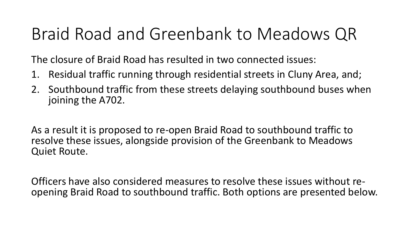# Braid Road and Greenbank to Meadows QR

The closure of Braid Road has resulted in two connected issues:

- 1. Residual traffic running through residential streets in Cluny Area, and;
- 2. Southbound traffic from these streets delaying southbound buses when joining the A702.

As a result it is proposed to re-open Braid Road to southbound traffic to resolve these issues, alongside provision of the Greenbank to Meadows Quiet Route.

Officers have also considered measures to resolve these issues without reopening Braid Road to southbound traffic. Both options are presented below.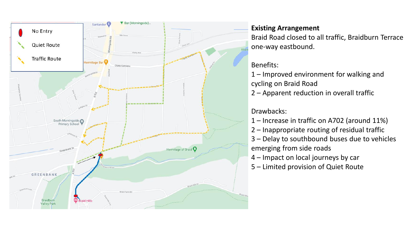

### **Existing Arrangement**

Braid Road closed to all traffic, Braidburn Terrace one-way eastbound.

#### Benefits:

1 – Improved environment for walking and cycling on Braid Road

2 – Apparent reduction in overall traffic

## Drawbacks:

- 1 Increase in traffic on A702 (around 11%)
- 2 Inappropriate routing of residual traffic
- 3 Delay to southbound buses due to vehicles emerging from side roads
- 4 Impact on local journeys by car
- 5 Limited provision of Quiet Route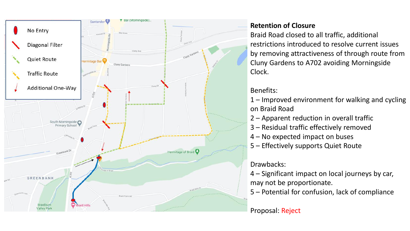

#### **Retention of Closure**

Braid Road closed to all traffic, additional restrictions introduced to resolve current issues by removing attractiveness of through route from Cluny Gardens to A702 avoiding Morningside Clock.

# Benefits:

1 – Improved environment for walking and cycling on Braid Road

- 2 Apparent reduction in overall traffic
- 3 Residual traffic effectively removed
- 4 No expected impact on buses
- 5 Effectively supports Quiet Route

# Drawbacks:

- 4 Significant impact on local journeys by car, may not be proportionate.
- 5 Potential for confusion, lack of compliance

# Proposal: Reject